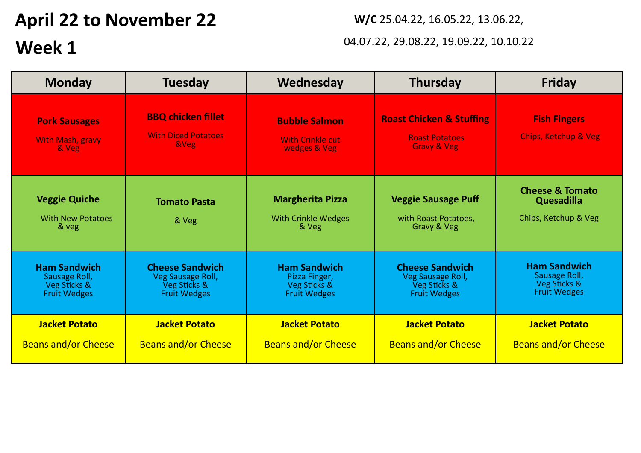# **April 22 to November 22**

## **Week 1**

**W/C** 25.04.22, 16.05.22, 13.06.22,

### 04.07.22, 29.08.22, 19.09.22, 10.10.22

| <b>Monday</b>                                                               | <b>Tuesday</b>                                                                     | Wednesday                                                                   | <b>Thursday</b>                                                                        | <b>Friday</b>                                                               |
|-----------------------------------------------------------------------------|------------------------------------------------------------------------------------|-----------------------------------------------------------------------------|----------------------------------------------------------------------------------------|-----------------------------------------------------------------------------|
| <b>Pork Sausages</b><br>With Mash, gravy<br>& Veg                           | <b>BBQ chicken fillet</b><br><b>With Diced Potatoes</b><br><b>&amp;Veg</b>         | <b>Bubble Salmon</b><br><b>With Crinkle cut</b><br>wedges & Veg             | <b>Roast Chicken &amp; Stuffing</b><br><b>Roast Potatoes</b><br><b>Gravy &amp; Veg</b> | <b>Fish Fingers</b><br><b>Chips, Ketchup &amp; Veg</b>                      |
| <b>Veggie Quiche</b><br><b>With New Potatoes</b><br>& veg                   | <b>Tomato Pasta</b><br>& Veg                                                       | <b>Margherita Pizza</b><br><b>With Crinkle Wedges</b><br>& Veg              | <b>Veggie Sausage Puff</b><br>with Roast Potatoes,<br>Gravy & Veg                      | <b>Cheese &amp; Tomato</b><br>Quesadilla<br>Chips, Ketchup & Veg            |
| <b>Ham Sandwich</b><br>Sausage Roll,<br>Veg Sticks &<br><b>Fruit Wedges</b> | <b>Cheese Sandwich</b><br>Veg Sausage Roll,<br>Veg Sticks &<br><b>Fruit Wedges</b> | <b>Ham Sandwich</b><br>Pizza Finger,<br>Veg Sticks &<br><b>Fruit Wedges</b> | <b>Cheese Sandwich</b><br>Veg Sausage Roll,<br>Veg Sticks &<br><b>Fruit Wedges</b>     | <b>Ham Sandwich</b><br>Sausage Roll,<br>Veg Sticks &<br><b>Fruit Wedges</b> |
| <b>Jacket Potato</b><br><b>Beans and/or Cheese</b>                          | <b>Jacket Potato</b><br><b>Beans and/or Cheese</b>                                 | <b>Jacket Potato</b><br><b>Beans and/or Cheese</b>                          | <b>Jacket Potato</b><br><b>Beans and/or Cheese</b>                                     | <b>Jacket Potato</b><br><b>Beans and/or Cheese</b>                          |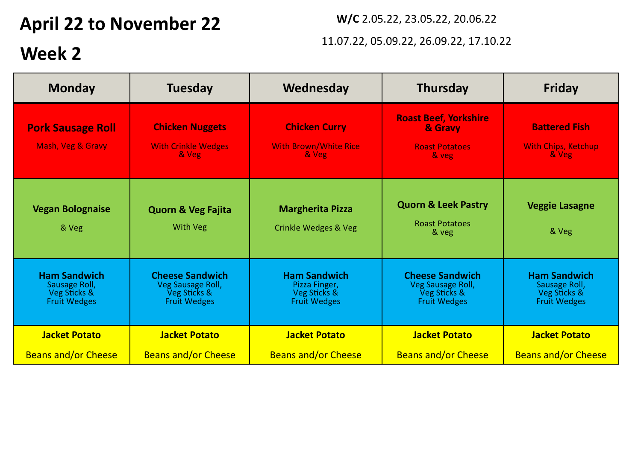## **April 22 to November 22** *W/C 2.05.22, 23.05.22, 20.06.22*

### 11.07.22, 05.09.22, 26.09.22, 17.10.22

## **Week 2**

| <b>Monday</b>                                                               | <b>Tuesday</b>                                                                     | Wednesday                                                                   | <b>Thursday</b>                                                                    | <b>Friday</b>                                                               |
|-----------------------------------------------------------------------------|------------------------------------------------------------------------------------|-----------------------------------------------------------------------------|------------------------------------------------------------------------------------|-----------------------------------------------------------------------------|
| <b>Pork Sausage Roll</b><br>Mash, Veg & Gravy                               | <b>Chicken Nuggets</b><br><b>With Crinkle Wedges</b><br>& Veg                      | <b>Chicken Curry</b><br><b>With Brown/White Rice</b><br>& Veg               | <b>Roast Beef, Yorkshire</b><br>& Gravy<br><b>Roast Potatoes</b><br>& veg          | <b>Battered Fish</b><br><b>With Chips, Ketchup</b><br>& Veg                 |
| <b>Vegan Bolognaise</b><br>& Veg                                            | <b>Quorn &amp; Veg Fajita</b><br><b>With Veg</b>                                   | <b>Margherita Pizza</b><br>Crinkle Wedges & Veg                             | <b>Quorn &amp; Leek Pastry</b><br><b>Roast Potatoes</b><br>& veg                   | <b>Veggie Lasagne</b><br>& Veg                                              |
| <b>Ham Sandwich</b><br>Sausage Roll,<br>Veg Sticks &<br><b>Fruit Wedges</b> | <b>Cheese Sandwich</b><br>Veg Sausage Roll,<br>Veg Sticks &<br><b>Fruit Wedges</b> | <b>Ham Sandwich</b><br>Pizza Finger,<br>Veg Sticks &<br><b>Fruit Wedges</b> | <b>Cheese Sandwich</b><br>Veg Sausage Roll,<br>Veg Sticks &<br><b>Fruit Wedges</b> | <b>Ham Sandwich</b><br>Sausage Roll,<br>Veg Sticks &<br><b>Fruit Wedges</b> |
| <b>Jacket Potato</b>                                                        | <b>Jacket Potato</b>                                                               | <b>Jacket Potato</b>                                                        | <b>Jacket Potato</b>                                                               | <b>Jacket Potato</b>                                                        |
| <b>Beans and/or Cheese</b>                                                  | <b>Beans and/or Cheese</b>                                                         | <b>Beans and/or Cheese</b>                                                  | <b>Beans and/or Cheese</b>                                                         | <b>Beans and/or Cheese</b>                                                  |